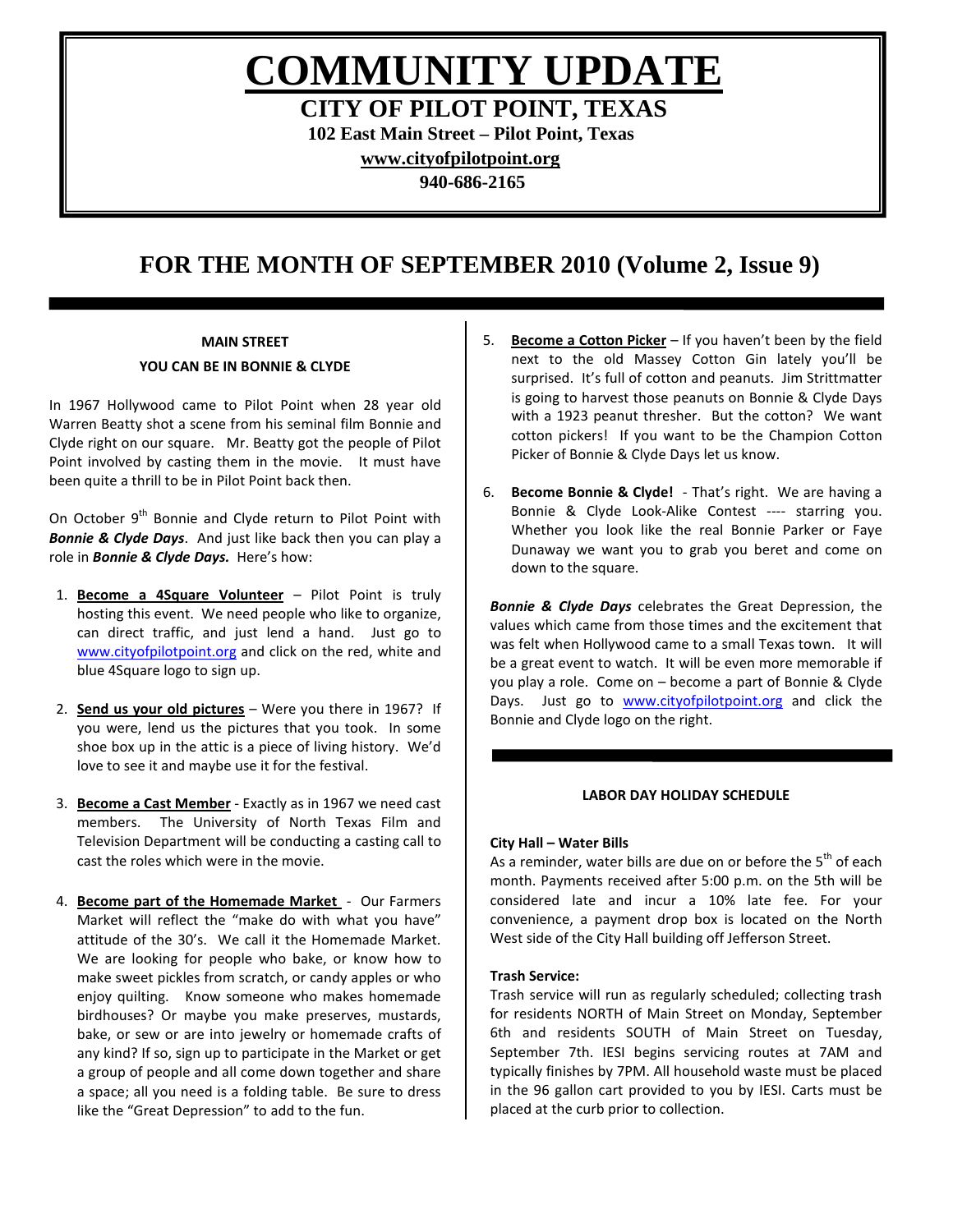**COMMUNITY UPDATE**

**CITY OF PILOT POINT, TEXAS**

**102 East Main Street – Pilot Point, Texas**

**[www.cityofpilotpoint.org](http://www.cityofpilotpoint.org/)**

**940-686-2165**

# **FOR THE MONTH OF SEPTEMBER 2010 (Volume 2, Issue 9)**

# **MAIN STREET**

# **YOU CAN BE IN BONNIE & CLYDE**

In 1967 Hollywood came to Pilot Point when 28 year old Warren Beatty shot a scene from his seminal film Bonnie and Clyde right on our square. Mr. Beatty got the people of Pilot Point involved by casting them in the movie. It must have been quite a thrill to be in Pilot Point back then.

On October 9<sup>th</sup> Bonnie and Clyde return to Pilot Point with *Bonnie & Clyde Days*. And just like back then you can play a role in *Bonnie & Clyde Days.* Here's how:

- 1. **Become a 4Square Volunteer** Pilot Point is truly hosting this event. We need people who like to organize, can direct traffic, and just lend a hand. Just go to [www.cityofpilotpoint.org](http://www.cityofpilotpoint.org/) and click on the red, white and blue 4Square logo to sign up.
- 2. **Send us your old pictures** Were you there in 1967? If you were, lend us the pictures that you took. In some shoe box up in the attic is a piece of living history. We'd love to see it and maybe use it for the festival.
- 3. **Become a Cast Member** Exactly as in 1967 we need cast members. The University of North Texas Film and Television Department will be conducting a casting call to cast the roles which were in the movie.
- 4. **Become part of the Homemade Market**  Our Farmers Market will reflect the "make do with what you have" attitude of the 30's. We call it the Homemade Market. We are looking for people who bake, or know how to make sweet pickles from scratch, or candy apples or who enjoy quilting. Know someone who makes homemade birdhouses? Or maybe you make preserves, mustards, bake, or sew or are into jewelry or homemade crafts of any kind? If so, sign up to participate in the Market or get a group of people and all come down together and share a space; all you need is a folding table. Be sure to dress like the "Great Depression" to add to the fun.
- 5. **Become a Cotton Picker** If you haven't been by the field next to the old Massey Cotton Gin lately you'll be surprised. It's full of cotton and peanuts. Jim Strittmatter is going to harvest those peanuts on Bonnie & Clyde Days with a 1923 peanut thresher. But the cotton? We want cotton pickers! If you want to be the Champion Cotton Picker of Bonnie & Clyde Days let us know.
- 6. **Become Bonnie & Clyde!** That's right. We are having a Bonnie & Clyde Look-Alike Contest ---- starring you. Whether you look like the real Bonnie Parker or Faye Dunaway we want you to grab you beret and come on down to the square.

*Bonnie & Clyde Days* celebrates the Great Depression, the values which came from those times and the excitement that was felt when Hollywood came to a small Texas town. It will be a great event to watch. It will be even more memorable if you play a role. Come on – become a part of Bonnie & Clyde Days. Just go to [www.cityofpilotpoint.org](http://www.cityofpilotpoint.org/) and click the Bonnie and Clyde logo on the right.

# **LABOR DAY HOLIDAY SCHEDULE**

# **City Hall – Water Bills**

As a reminder, water bills are due on or before the  $5<sup>th</sup>$  of each month. Payments received after 5:00 p.m. on the 5th will be considered late and incur a 10% late fee. For your convenience, a payment drop box is located on the North West side of the City Hall building off Jefferson Street.

# **Trash Service:**

Trash service will run as regularly scheduled; collecting trash for residents NORTH of Main Street on Monday, September 6th and residents SOUTH of Main Street on Tuesday, September 7th. IESI begins servicing routes at 7AM and typically finishes by 7PM. All household waste must be placed in the 96 gallon cart provided to you by IESI. Carts must be placed at the curb prior to collection.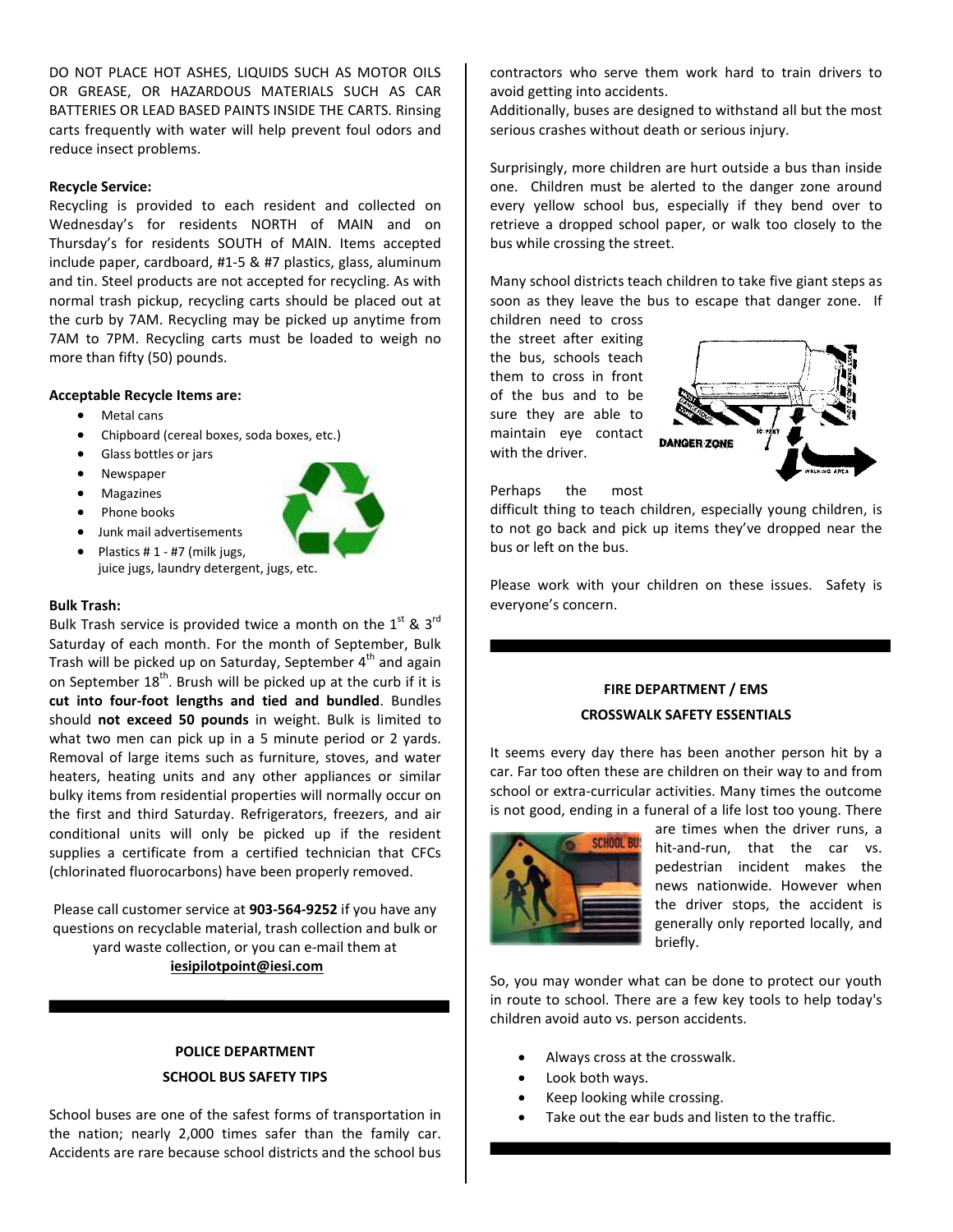DO NOT PLACE HOT ASHES, LIQUIDS SUCH AS MOTOR OILS OR GREASE, OR HAZARDOUS MATERIALS SUCH AS CAR BATTERIES OR LEAD BASED PAINTS INSIDE THE CARTS. Rinsing carts frequently with water will help prevent foul odors and reduce insect problems.

#### **Recycle Service:**

Recycling is provided to each resident and collected on Wednesday's for residents NORTH of MAIN and on Thursday's for residents SOUTH of MAIN. Items accepted include paper, cardboard, #1-5 & #7 plastics, glass, aluminum and tin. Steel products are not accepted for recycling. As with normal trash pickup, recycling carts should be placed out at the curb by 7AM. Recycling may be picked up anytime from 7AM to 7PM. Recycling carts must be loaded to weigh no more than fifty (50) pounds.

#### **Acceptable Recycle Items are:**

- Metal cans
- Chipboard (cereal boxes, soda boxes, etc.)
- Glass bottles or jars
- Newspaper
- **Magazines**
- Phone books



- Junk mail advertisements
- Plastics  $# 1 #7$  (milk jugs, juice jugs, laundry detergent, jugs, etc.

### **Bulk Trash:**

Bulk Trash service is provided twice a month on the  $1^{st}$  &  $3^{rd}$ Saturday of each month. For the month of September, Bulk Trash will be picked up on Saturday, September 4<sup>th</sup> and again on September  $18<sup>th</sup>$ . Brush will be picked up at the curb if it is **cut into four-foot lengths and tied and bundled**. Bundles should **not exceed 50 pounds** in weight. Bulk is limited to what two men can pick up in a 5 minute period or 2 yards. Removal of large items such as furniture, stoves, and water heaters, heating units and any other appliances or similar bulky items from residential properties will normally occur on the first and third Saturday. Refrigerators, freezers, and air conditional units will only be picked up if the resident supplies a certificate from a certified technician that CFCs (chlorinated fluorocarbons) have been properly removed.

Please call customer service at **903-564-9252** if you have any questions on recyclable material, trash collection and bulk or yard waste collection, or you can e-mail them at **[iesipilotpoint@iesi.com](mailto:iesipilotpoint@iesi.com)**

# **POLICE DEPARTMENT SCHOOL BUS SAFETY TIPS**

School buses are one of the safest forms of transportation in the nation; nearly 2,000 times safer than the family car. Accidents are rare because school districts and the school bus contractors who serve them work hard to train drivers to avoid getting into accidents.

Additionally, buses are designed to withstand all but the most serious crashes without death or serious injury.

Surprisingly, more children are hurt outside a bus than inside one. Children must be alerted to the danger zone around every yellow school bus, especially if they bend over to retrieve a dropped school paper, or walk too closely to the bus while crossing the street.

Many school districts teach children to take five giant steps as soon as they leave the bus to escape that danger zone. If children need to cross

the street after exiting the bus, schools teach them to cross in front of the bus and to be sure they are able to maintain eye contact with the driver.



Perhaps the most

difficult thing to teach children, especially young children, is to not go back and pick up items they've dropped near the bus or left on the bus.

Please work with your children on these issues. Safety is everyone's concern.

# **FIRE DEPARTMENT / EMS CROSSWALK SAFETY ESSENTIALS**

It seems every day there has been another person hit by a car. Far too often these are children on their way to and from school or extra-curricular activities. Many times the outcome is not good, ending in a funeral of a life lost too young. There



are times when the driver runs, a hit-and-run, that the car vs. pedestrian incident makes the news nationwide. However when the driver stops, the accident is generally only reported locally, and briefly.

So, you may wonder what can be done to protect our youth in route to school. There are a few key tools to help today's children avoid auto vs. person accidents.

- Always cross at the crosswalk.
- Look both ways.
- Keep looking while crossing.
- Take out the ear buds and listen to the traffic.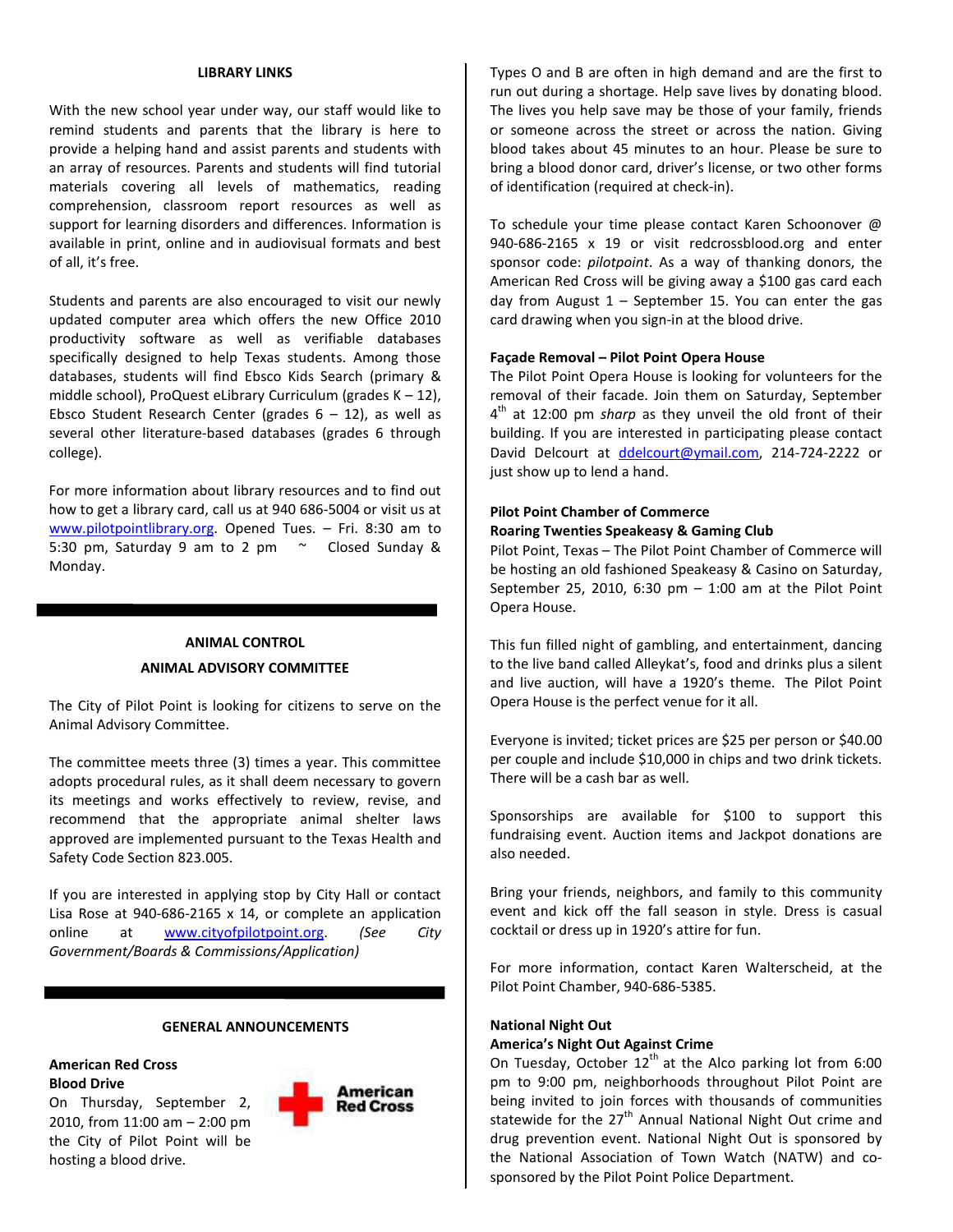#### **LIBRARY LINKS**

With the new school year under way, our staff would like to remind students and parents that the library is here to provide a helping hand and assist parents and students with an array of resources. Parents and students will find tutorial materials covering all levels of mathematics, reading comprehension, classroom report resources as well as support for learning disorders and differences. Information is available in print, online and in audiovisual formats and best of all, it's free.

Students and parents are also encouraged to visit our newly updated computer area which offers the new Office 2010 productivity software as well as verifiable databases specifically designed to help Texas students. Among those databases, students will find Ebsco Kids Search (primary & middle school), ProQuest eLibrary Curriculum (grades K – 12), Ebsco Student Research Center (grades  $6 - 12$ ), as well as several other literature-based databases (grades 6 through college).

For more information about library resources and to find out how to get a library card, call us at 940 686-5004 or visit us at [www.pilotpointlibrary.org.](http://www.pilotpointlibrary.org/) Opened Tues. – Fri. 8:30 am to 5:30 pm, Saturday 9 am to 2 pm ~ Closed Sunday & Monday.

# **ANIMAL CONTROL ANIMAL ADVISORY COMMITTEE**

The City of Pilot Point is looking for citizens to serve on the Animal Advisory Committee.

The committee meets three (3) times a year. This committee adopts procedural rules, as it shall deem necessary to govern its meetings and works effectively to review, revise, and recommend that the appropriate animal shelter laws approved are implemented pursuant to the Texas Health and Safety Code Section 823.005.

If you are interested in applying stop by City Hall or contact Lisa Rose at 940-686-2165 x 14, or complete an application online at [www.cityofpilotpoint.org.](http://www.cityofpilotpoint.org/) *(See City Government/Boards & Commissions/Application)*

#### **GENERAL ANNOUNCEMENTS**

### **American Red Cross Blood Drive**

On Thursday, September 2, 2010, from 11:00 am – 2:00 pm the City of Pilot Point will be hosting a blood drive.



Types O and B are often in high demand and are the first to run out during a shortage. Help save lives by donating blood. The lives you help save may be those of your family, friends or someone across the street or across the nation. Giving blood takes about 45 minutes to an hour. Please be sure to bring a blood donor card, driver's license, or two other forms of identification (required at check-in).

To schedule your time please contact Karen Schoonover @ 940-686-2165 x 19 or visit redcrossblood.org and enter sponsor code: *pilotpoint*. As a way of thanking donors, the American Red Cross will be giving away a \$100 gas card each day from August  $1$  – September 15. You can enter the gas card drawing when you sign-in at the blood drive.

### **Façade Removal – Pilot Point Opera House**

The Pilot Point Opera House is looking for volunteers for the removal of their facade. Join them on Saturday, September 4<sup>th</sup> at 12:00 pm *sharp* as they unveil the old front of their building. If you are interested in participating please contact David Delcourt at [ddelcourt@ymail.com,](mailto:ddelcourt@ymail.com) 214-724-2222 or just show up to lend a hand.

# **Pilot Point Chamber of Commerce**

### **Roaring Twenties Speakeasy & Gaming Club**

Pilot Point, Texas – The Pilot Point Chamber of Commerce will be hosting an old fashioned Speakeasy & Casino on Saturday, September 25, 2010, 6:30  $pm - 1:00$  am at the Pilot Point Opera House.

This fun filled night of gambling, and entertainment, dancing to the live band called Alleykat's, food and drinks plus a silent and live auction, will have a 1920's theme. The Pilot Point Opera House is the perfect venue for it all.

Everyone is invited; ticket prices are \$25 per person or \$40.00 per couple and include \$10,000 in chips and two drink tickets. There will be a cash bar as well.

Sponsorships are available for \$100 to support this fundraising event. Auction items and Jackpot donations are also needed.

Bring your friends, neighbors, and family to this community event and kick off the fall season in style. Dress is casual cocktail or dress up in 1920's attire for fun.

For more information, contact Karen Walterscheid, at the Pilot Point Chamber, 940-686-5385.

#### **National Night Out**

#### **America's Night Out Against Crime**

On Tuesday, October  $12<sup>th</sup>$  at the Alco parking lot from 6:00 pm to 9:00 pm, neighborhoods throughout Pilot Point are being invited to join forces with thousands of communities statewide for the  $27<sup>th</sup>$  Annual National Night Out crime and drug prevention event. National Night Out is sponsored by the National Association of Town Watch (NATW) and cosponsored by the Pilot Point Police Department.